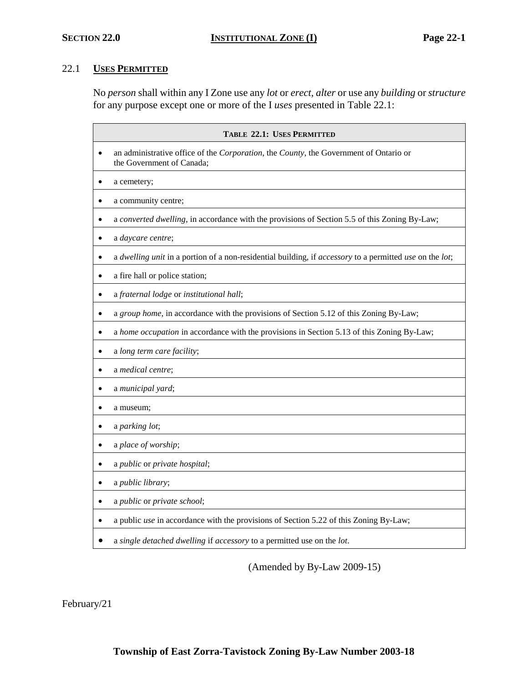# 22.1 **USES PERMITTED**

No *person* shall within any I Zone use any *lot* or *erect, alter* or use any *building* or *structure* for any purpose except one or more of the I *uses* presented in Table 22.1:

| <b>TABLE 22.1: USES PERMITTED</b>                                                                                  |  |  |
|--------------------------------------------------------------------------------------------------------------------|--|--|
| an administrative office of the Corporation, the County, the Government of Ontario or<br>the Government of Canada; |  |  |
| a cemetery;                                                                                                        |  |  |
| a community centre;                                                                                                |  |  |
| a converted dwelling, in accordance with the provisions of Section 5.5 of this Zoning By-Law;                      |  |  |
| a daycare centre;                                                                                                  |  |  |
| a dwelling unit in a portion of a non-residential building, if accessory to a permitted use on the lot;            |  |  |
| a fire hall or police station;                                                                                     |  |  |
| a fraternal lodge or institutional hall;                                                                           |  |  |
| a group home, in accordance with the provisions of Section 5.12 of this Zoning By-Law;                             |  |  |
| a home occupation in accordance with the provisions in Section 5.13 of this Zoning By-Law;<br>٠                    |  |  |
| a long term care facility;                                                                                         |  |  |
| a medical centre;                                                                                                  |  |  |
| a municipal yard;                                                                                                  |  |  |
| a museum;                                                                                                          |  |  |
| a parking lot;                                                                                                     |  |  |
| a place of worship;                                                                                                |  |  |
| a public or private hospital;                                                                                      |  |  |
| a public library;                                                                                                  |  |  |
| a public or private school;                                                                                        |  |  |
| a public use in accordance with the provisions of Section 5.22 of this Zoning By-Law;                              |  |  |
| a single detached dwelling if accessory to a permitted use on the lot.                                             |  |  |

(Amended by By-Law 2009-15)

February/21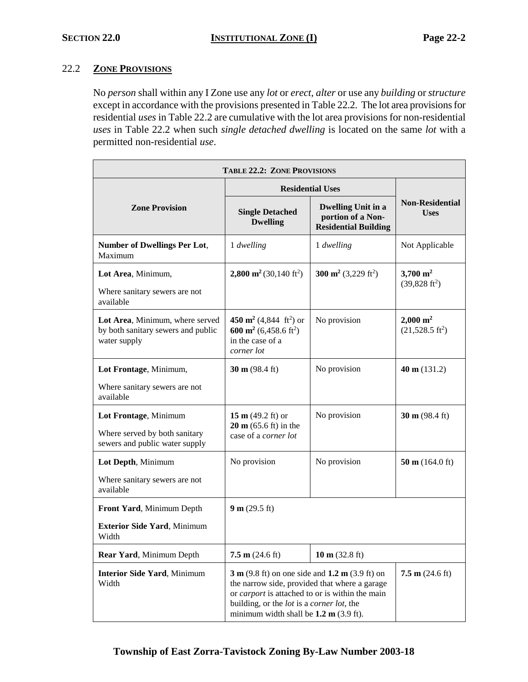## **SECTION 22.0 INSTITUTIONAL ZONE (I) Page 22-2**

# 22.2 **ZONE PROVISIONS**

No *person* shall within any I Zone use any *lot* or *erect, alter* or use any *building* or *structure* except in accordance with the provisions presented in Table 22.2. The lot area provisions for residential *uses* in Table 22.2 are cumulative with the lot area provisions for non-residential *uses* in Table 22.2 when such *single detached dwelling* is located on the same *lot* with a permitted non-residential *use*.

| <b>TABLE 22.2: ZONE PROVISIONS</b>                                                    |                                                                                                                                                                                                                                                                                               |                                                                               |                                                      |  |
|---------------------------------------------------------------------------------------|-----------------------------------------------------------------------------------------------------------------------------------------------------------------------------------------------------------------------------------------------------------------------------------------------|-------------------------------------------------------------------------------|------------------------------------------------------|--|
|                                                                                       | <b>Residential Uses</b>                                                                                                                                                                                                                                                                       |                                                                               |                                                      |  |
| <b>Zone Provision</b>                                                                 | <b>Single Detached</b><br><b>Dwelling</b>                                                                                                                                                                                                                                                     | <b>Dwelling Unit in a</b><br>portion of a Non-<br><b>Residential Building</b> | <b>Non-Residential</b><br><b>Uses</b>                |  |
| <b>Number of Dwellings Per Lot,</b><br>Maximum                                        | 1 dwelling                                                                                                                                                                                                                                                                                    | 1 dwelling                                                                    | Not Applicable                                       |  |
| Lot Area, Minimum,                                                                    | <b>2,800 m<sup>2</sup></b> (30,140 ft <sup>2</sup> )                                                                                                                                                                                                                                          | 300 m <sup>2</sup> (3,229 ft <sup>2</sup> )                                   | $3,700 \text{ m}^2$                                  |  |
| Where sanitary sewers are not<br>available                                            |                                                                                                                                                                                                                                                                                               |                                                                               | $(39,828 \text{ ft}^2)$                              |  |
| Lot Area, Minimum, where served<br>by both sanitary sewers and public<br>water supply | 450 m <sup>2</sup> (4,844 ft <sup>2</sup> ) or<br>600 m <sup>2</sup> (6,458.6 ft <sup>2</sup> )<br>in the case of a<br>corner lot                                                                                                                                                             | No provision                                                                  | $2,000 \; \mathrm{m}^2$<br>$(21,528.5 \text{ ft}^2)$ |  |
| Lot Frontage, Minimum,                                                                | 30 m $(98.4 \text{ ft})$                                                                                                                                                                                                                                                                      | No provision                                                                  | $40 \text{ m} (131.2)$                               |  |
| Where sanitary sewers are not<br>available                                            |                                                                                                                                                                                                                                                                                               |                                                                               |                                                      |  |
| Lot Frontage, Minimum                                                                 | 15 m $(49.2 \text{ ft})$ or                                                                                                                                                                                                                                                                   | No provision                                                                  | 30 m $(98.4 \text{ ft})$                             |  |
| Where served by both sanitary<br>sewers and public water supply                       | $20 \text{ m}$ (65.6 ft) in the<br>case of a corner lot                                                                                                                                                                                                                                       |                                                                               |                                                      |  |
| Lot Depth, Minimum                                                                    | No provision                                                                                                                                                                                                                                                                                  | No provision                                                                  | 50 m $(164.0 \text{ ft})$                            |  |
| Where sanitary sewers are not<br>available                                            |                                                                                                                                                                                                                                                                                               |                                                                               |                                                      |  |
| Front Yard, Minimum Depth                                                             | 9 m (29.5 ft)                                                                                                                                                                                                                                                                                 |                                                                               |                                                      |  |
| <b>Exterior Side Yard, Minimum</b><br>Width                                           |                                                                                                                                                                                                                                                                                               |                                                                               |                                                      |  |
| Rear Yard, Minimum Depth                                                              | $7.5 \text{ m}$ (24.6 ft)                                                                                                                                                                                                                                                                     | 10 m $(32.8 \text{ ft})$                                                      |                                                      |  |
| <b>Interior Side Yard, Minimum</b><br>Width                                           | $3 \text{ m}$ (9.8 ft) on one side and $1.2 \text{ m}$ (3.9 ft) on<br>the narrow side, provided that where a garage<br>or <i>carport</i> is attached to or is within the main<br>building, or the <i>lot</i> is a <i>corner lot</i> , the<br>minimum width shall be $1.2 \text{ m}$ (3.9 ft). |                                                                               | $7.5 \text{ m}$ (24.6 ft)                            |  |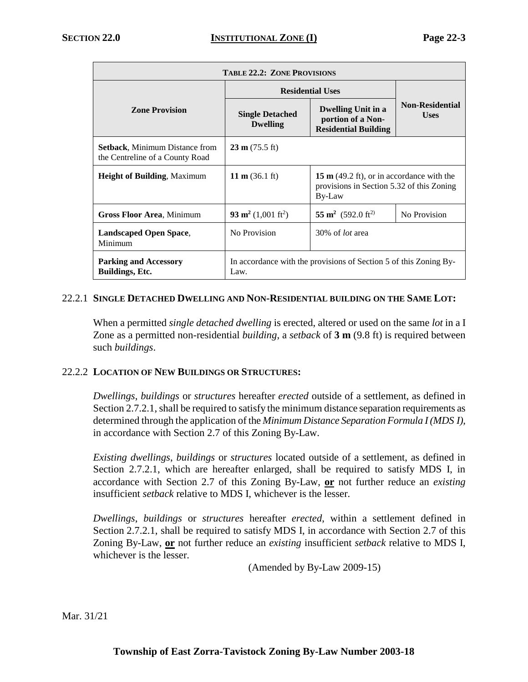| <b>TABLE 22.2: ZONE PROVISIONS</b>                                       |                                                                           |                                                                                                             |                                       |  |
|--------------------------------------------------------------------------|---------------------------------------------------------------------------|-------------------------------------------------------------------------------------------------------------|---------------------------------------|--|
|                                                                          | <b>Residential Uses</b>                                                   |                                                                                                             |                                       |  |
| <b>Zone Provision</b>                                                    | <b>Single Detached</b><br><b>Dwelling</b>                                 | <b>Dwelling Unit in a</b><br>portion of a Non-<br><b>Residential Building</b>                               | <b>Non-Residential</b><br><b>Uses</b> |  |
| <b>Setback, Minimum Distance from</b><br>the Centreline of a County Road | $23 \text{ m} (75.5 \text{ ft})$                                          |                                                                                                             |                                       |  |
| <b>Height of Building, Maximum</b>                                       | 11 m $(36.1 \text{ ft})$                                                  | 15 m $(49.2 \text{ ft})$ , or in accordance with the<br>provisions in Section 5.32 of this Zoning<br>By-Law |                                       |  |
| <b>Gross Floor Area, Minimum</b>                                         | 93 m <sup>2</sup> (1,001 ft <sup>2</sup> )                                | 55 $\mathrm{m}^2$ (592.0 ft <sup>2)</sup>                                                                   | No Provision                          |  |
| <b>Landscaped Open Space,</b><br>Minimum                                 | No Provision                                                              | 30% of <i>lot</i> area                                                                                      |                                       |  |
| <b>Parking and Accessory</b><br>Buildings, Etc.                          | In accordance with the provisions of Section 5 of this Zoning By-<br>Law. |                                                                                                             |                                       |  |

#### 22.2.1 **SINGLE DETACHED DWELLING AND NON-RESIDENTIAL BUILDING ON THE SAME LOT:**

When a permitted *single detached dwelling* is erected, altered or used on the same *lot* in a I Zone as a permitted non-residential *building*, a *setback* of **3 m** (9.8 ft) is required between such *buildings*.

#### 22.2.2 **LOCATION OF NEW BUILDINGS OR STRUCTURES:**

*Dwellings*, *buildings* or *structures* hereafter *erected* outside of a settlement, as defined in Section 2.7.2.1, shall be required to satisfy the minimum distance separation requirements as determined through the application of the *Minimum Distance Separation Formula I (MDS I),* in accordance with Section 2.7 of this Zoning By-Law.

*Existing dwellings*, *buildings* or *structures* located outside of a settlement, as defined in Section 2.7.2.1, which are hereafter enlarged, shall be required to satisfy MDS I, in accordance with Section 2.7 of this Zoning By-Law, **or** not further reduce an *existing* insufficient *setback* relative to MDS I, whichever is the lesser.

*Dwellings*, *buildings* or *structures* hereafter *erected*, within a settlement defined in Section 2.7.2.1, shall be required to satisfy MDS I, in accordance with Section 2.7 of this Zoning By-Law, **or** not further reduce an *existing* insufficient *setback* relative to MDS I, whichever is the lesser.

(Amended by By-Law 2009-15)

Mar. 31/21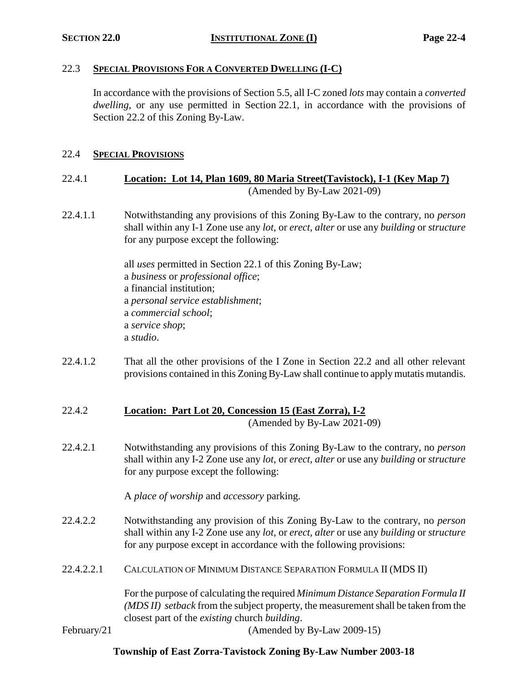### **SECTION 22.0 INSTITUTIONAL ZONE (I) Page 22-4**

### 22.3 **SPECIAL PROVISIONS FOR A CONVERTED DWELLING (I-C)**

In accordance with the provisions of Section 5.5, all I-C zoned *lots* may contain a *converted dwelling*, or any use permitted in Section 22.1, in accordance with the provisions of Section 22.2 of this Zoning By-Law.

### 22.4 **SPECIAL PROVISIONS**

## 22.4.1 **Location: Lot 14, Plan 1609, 80 Maria Street(Tavistock), I-1 (Key Map 7)** (Amended by By-Law 2021-09)

22.4.1.1 Notwithstanding any provisions of this Zoning By-Law to the contrary, no *person* shall within any I-1 Zone use any *lot*, or *erect, alter* or use any *building* or *structure* for any purpose except the following:

> all *uses* permitted in Section 22.1 of this Zoning By-Law; a *business* or *professional office*; a financial institution; a *personal service establishment*; a *commercial school*; a *service shop*; a *studio*.

22.4.1.2 That all the other provisions of the I Zone in Section 22.2 and all other relevant provisions contained in this Zoning By-Law shall continue to apply mutatis mutandis.

# 22.4.2 **Location: Part Lot 20, Concession 15 (East Zorra), I-2** (Amended by By-Law 2021-09)

22.4.2.1 Notwithstanding any provisions of this Zoning By-Law to the contrary, no *person* shall within any I-2 Zone use any *lot*, or *erect, alter* or use any *building* or *structure* for any purpose except the following:

A *place of worship* and *accessory* parking.

- 22.4.2.2 Notwithstanding any provision of this Zoning By-Law to the contrary, no *person* shall within any I-2 Zone use any *lot*, or *erect, alter* or use any *building* or *structure* for any purpose except in accordance with the following provisions:
- 22.4.2.2.1 CALCULATION OF MINIMUM DISTANCE SEPARATION FORMULA II (MDS II)

For the purpose of calculating the required *Minimum Distance Separation Formula II (MDS II) setback* from the subject property, the measurement shall be taken from the closest part of the *existing* church *building*.

February/21 (Amended by By-Law 2009-15)

# **Township of East Zorra-Tavistock Zoning By-Law Number 2003-18**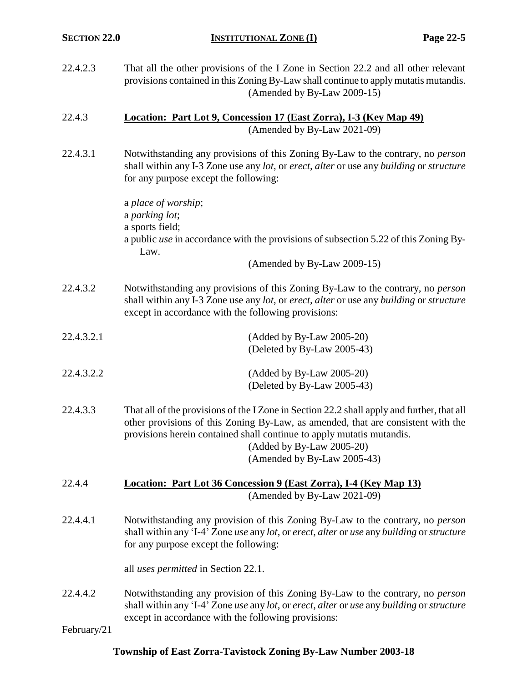| 22.4.2.3   | That all the other provisions of the I Zone in Section 22.2 and all other relevant<br>provisions contained in this Zoning By-Law shall continue to apply mutatis mutandis.<br>(Amended by By-Law 2009-15)                                |  |  |
|------------|------------------------------------------------------------------------------------------------------------------------------------------------------------------------------------------------------------------------------------------|--|--|
| 22.4.3     | Location: Part Lot 9, Concession 17 (East Zorra), I-3 (Key Map 49)<br>(Amended by By-Law 2021-09)                                                                                                                                        |  |  |
| 22.4.3.1   | Notwithstanding any provisions of this Zoning By-Law to the contrary, no <i>person</i><br>shall within any I-3 Zone use any lot, or erect, alter or use any building or structure<br>for any purpose except the following:               |  |  |
|            | a place of worship;<br>a parking lot;<br>a sports field;<br>a public <i>use</i> in accordance with the provisions of subsection 5.22 of this Zoning By-<br>Law.<br>(Amended by By-Law 2009-15)                                           |  |  |
| 22.4.3.2   | Notwithstanding any provisions of this Zoning By-Law to the contrary, no <i>person</i><br>shall within any I-3 Zone use any lot, or erect, alter or use any building or structure<br>except in accordance with the following provisions: |  |  |
| 22.4.3.2.1 | $(Added by By-Law 2005-20)$<br>(Deleted by By-Law 2005-43)                                                                                                                                                                               |  |  |
| 22.4.3.2.2 | $(Added by By-Law 2005-20)$<br>(Deleted by By-Law 2005-43)                                                                                                                                                                               |  |  |

22.4.3.3 That all of the provisions of the I Zone in Section 22.2 shall apply and further, that all other provisions of this Zoning By-Law, as amended, that are consistent with the provisions herein contained shall continue to apply mutatis mutandis. (Added by By-Law 2005-20)

(Amended by By-Law 2005-43)

- 22.4.4 **Location: Part Lot 36 Concession 9 (East Zorra), I-4 (Key Map 13)** (Amended by By-Law 2021-09)
- 22.4.4.1 Notwithstanding any provision of this Zoning By-Law to the contrary, no *person* shall within any 'I-4' Zone *use* any *lot*, or *erect*, *alter* or *use* any *building* or *structure* for any purpose except the following:

all *uses permitted* in Section 22.1.

22.4.4.2 Notwithstanding any provision of this Zoning By-Law to the contrary, no *person* shall within any 'I-4' Zone *use* any *lot*, or *erect*, *alter* or *use* any *building* or *structure* except in accordance with the following provisions:

February/21

# **Township of East Zorra-Tavistock Zoning By-Law Number 2003-18**